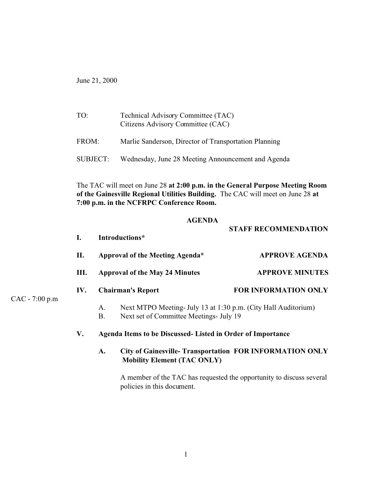June 21, 2000

| TO:      | Technical Advisory Committee (TAC)<br>Citizens Advisory Committee (CAC) |
|----------|-------------------------------------------------------------------------|
| FROM:    | Marlie Sanderson, Director of Transportation Planning                   |
| SUBJECT: | Wednesday, June 28 Meeting Announcement and Agenda                      |

The TAC will meet on June 28 **at 2:00 p.m. in the General Purpose Meeting Room of the Gainesville Regional Utilities Building.** The CAC will meet on June 28 **at 7:00 p.m. in the NCFRPC Conference Room.**

#### **AGENDA**

**STAFF RECOMMENDATION**

| $\mathbf{I}$ . | Introductions* |                                                                                                           |                                                                |  |  |
|----------------|----------------|-----------------------------------------------------------------------------------------------------------|----------------------------------------------------------------|--|--|
| II.            |                | Approval of the Meeting Agenda*                                                                           | <b>APPROVE AGENDA</b><br><b>APPROVE MINUTES</b>                |  |  |
| III.           |                | <b>Approval of the May 24 Minutes</b>                                                                     |                                                                |  |  |
| IV.            |                | <b>Chairman's Report</b>                                                                                  | <b>FOR INFORMATION ONLY</b>                                    |  |  |
|                | A.<br>B.       | Next MTPO Meeting- July 13 at 1:30 p.m. (City Hall Auditorium)<br>Next set of Committee Meetings- July 19 |                                                                |  |  |
| V.             |                | Agenda Items to be Discussed- Listed in Order of Importance                                               |                                                                |  |  |
|                | A.             | <b>Mobility Element (TAC ONLY)</b>                                                                        | <b>City of Gainesville-Transportation FOR INFORMATION ONLY</b> |  |  |

A member of the TAC has requested the opportunity to discuss several policies in this document.

CAC - 7:00 p.m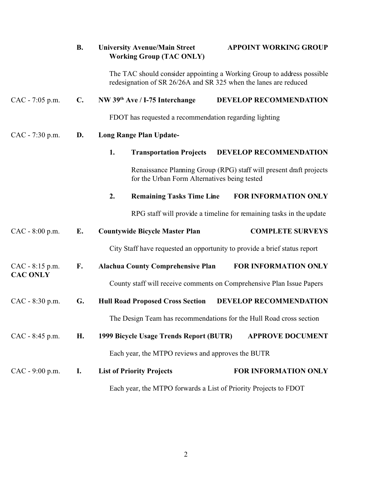|                   | <b>B.</b>                                                        | <b>University Avenue/Main Street</b><br><b>Working Group (TAC ONLY)</b> | <b>APPOINT WORKING GROUP</b>                                                                                       |  |
|-------------------|------------------------------------------------------------------|-------------------------------------------------------------------------|--------------------------------------------------------------------------------------------------------------------|--|
|                   |                                                                  | redesignation of SR 26/26A and SR 325 when the lanes are reduced        | The TAC should consider appointing a Working Group to address possible                                             |  |
| CAC - 7:05 p.m.   | $\mathbf{C}$ .                                                   | NW 39th Ave / I-75 Interchange                                          | <b>DEVELOP RECOMMENDATION</b>                                                                                      |  |
|                   |                                                                  | FDOT has requested a recommendation regarding lighting                  |                                                                                                                    |  |
| CAC - 7:30 p.m.   | D.                                                               | <b>Long Range Plan Update-</b>                                          |                                                                                                                    |  |
|                   |                                                                  | 1.<br><b>Transportation Projects</b>                                    | DEVELOP RECOMMENDATION                                                                                             |  |
|                   |                                                                  |                                                                         | Renaissance Planning Group (RPG) staff will present draft projects<br>for the Urban Form Alternatives being tested |  |
|                   |                                                                  | 2.<br><b>Remaining Tasks Time Line</b>                                  | FOR INFORMATION ONLY                                                                                               |  |
|                   |                                                                  |                                                                         | RPG staff will provide a timeline for remaining tasks in the update                                                |  |
| $CAC - 8:00 p.m.$ | E.                                                               | <b>Countywide Bicycle Master Plan</b>                                   | <b>COMPLETE SURVEYS</b>                                                                                            |  |
|                   |                                                                  |                                                                         | City Staff have requested an opportunity to provide a brief status report                                          |  |
| CAC - 8:15 p.m.   | F.                                                               | <b>Alachua County Comprehensive Plan</b>                                | FOR INFORMATION ONLY                                                                                               |  |
| <b>CAC ONLY</b>   |                                                                  |                                                                         | County staff will receive comments on Comprehensive Plan Issue Papers                                              |  |
| CAC - 8:30 p.m.   | G.                                                               | <b>Hull Road Proposed Cross Section</b>                                 | DEVELOP RECOMMENDATION                                                                                             |  |
|                   |                                                                  |                                                                         | The Design Team has recommendations for the Hull Road cross section                                                |  |
| CAC - 8:45 p.m.   | Н.                                                               | 1999 Bicycle Usage Trends Report (BUTR)                                 | <b>APPROVE DOCUMENT</b>                                                                                            |  |
|                   |                                                                  | Each year, the MTPO reviews and approves the BUTR                       |                                                                                                                    |  |
| $CAC - 9:00 p.m.$ | <b>I.</b>                                                        | <b>List of Priority Projects</b>                                        | FOR INFORMATION ONLY                                                                                               |  |
|                   | Each year, the MTPO forwards a List of Priority Projects to FDOT |                                                                         |                                                                                                                    |  |